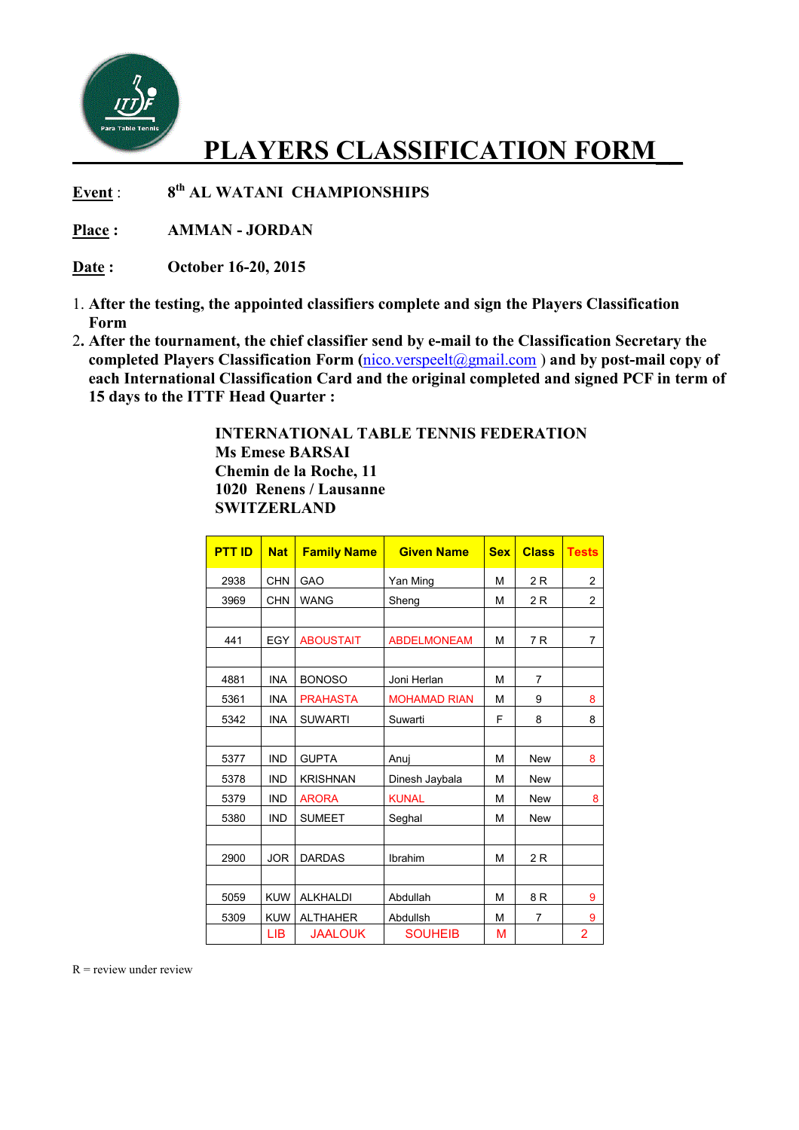

## **PLAYERS CLASSIFICATION FORM\_\_**

**Event** : **th AL WATANI CHAMPIONSHIPS** 

**Place : AMMAN - JORDAN** 

**Date : October 16-20, 2015** 

- 1. **After the testing, the appointed classifiers complete and sign the Players Classification Form**
- 2**. After the tournament, the chief classifier send by e-mail to the Classification Secretary the completed Players Classification Form (**nico.verspeelt@gmail.com ) **and by post-mail copy of each International Classification Card and the original completed and signed PCF in term of 15 days to the ITTF Head Quarter :**

 **INTERNATIONAL TABLE TENNIS FEDERATION Ms Emese BARSAI Chemin de la Roche, 11 1020 Renens / Lausanne SWITZERLAND** 

| <b>PTT ID</b> | <b>Nat</b> | <b>Family Name</b> | <b>Given Name</b>   | <b>Sex</b> | <b>Class</b> | <b>Tests</b>            |
|---------------|------------|--------------------|---------------------|------------|--------------|-------------------------|
| 2938          | <b>CHN</b> | GAO                | Yan Ming            | М          | 2R           | $\overline{c}$          |
| 3969          | <b>CHN</b> | <b>WANG</b>        | Sheng               | М          | 2R           | $\overline{\mathbf{c}}$ |
|               |            |                    |                     |            |              |                         |
| 441           | EGY        | <b>ABOUSTAIT</b>   | <b>ABDELMONEAM</b>  | М          | 7 R          | $\overline{7}$          |
|               |            |                    |                     |            |              |                         |
| 4881          | <b>INA</b> | <b>BONOSO</b>      | Joni Herlan         | М          | 7            |                         |
| 5361          | <b>INA</b> | <b>PRAHASTA</b>    | <b>MOHAMAD RIAN</b> | М          | 9            | 8                       |
| 5342          | <b>INA</b> | <b>SUWARTI</b>     | Suwarti             | F          | 8            | 8                       |
|               |            |                    |                     |            |              |                         |
| 5377          | <b>IND</b> | <b>GUPTA</b>       | Anuj                | М          | <b>New</b>   | 8                       |
| 5378          | <b>IND</b> | <b>KRISHNAN</b>    | Dinesh Jaybala      | M          | <b>New</b>   |                         |
| 5379          | <b>IND</b> | <b>ARORA</b>       | <b>KUNAL</b>        | M          | <b>New</b>   | 8                       |
| 5380          | <b>IND</b> | <b>SUMEET</b>      | Seghal              | М          | <b>New</b>   |                         |
|               |            |                    |                     |            |              |                         |
| 2900          | <b>JOR</b> | <b>DARDAS</b>      | Ibrahim             | М          | 2R           |                         |
|               |            |                    |                     |            |              |                         |
| 5059          | <b>KUW</b> | <b>ALKHALDI</b>    | Abdullah            | M          | 8R           | 9                       |
| 5309          | <b>KUW</b> | <b>ALTHAHER</b>    | Abdullsh            | М          | 7            | 9                       |
|               | LІВ        | <b>JAALOUK</b>     | <b>SOUHEIB</b>      | М          |              | 2                       |

 $R$  = review under review